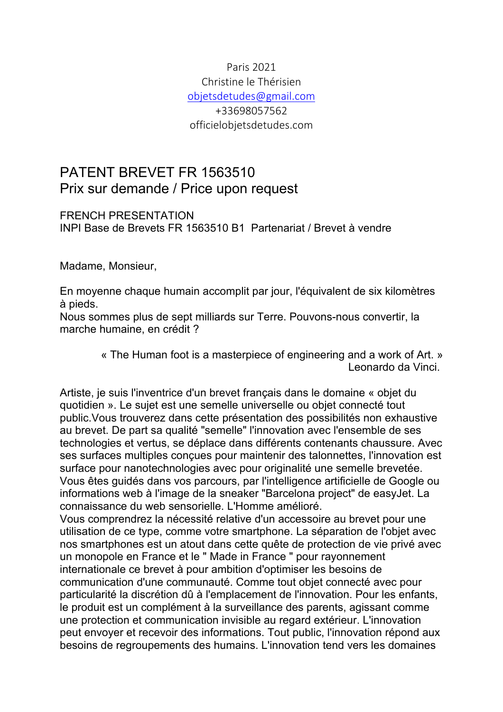# Paris 2021 Christine le Thérisien objetsdetudes@gmail.com +33698057562 officielobjetsdetudes.com

# PATENT BREVET FR 1563510 Prix sur demande / Price upon request

### FRENCH PRESENTATION INPI Base de Brevets FR 1563510 B1 Partenariat / Brevet à vendre

Madame, Monsieur,

En moyenne chaque humain accomplit par jour, l'équivalent de six kilomètres à pieds.

Nous sommes plus de sept milliards sur Terre. Pouvons-nous convertir, la marche humaine, en crédit ?

Artiste, je suis l'inventrice d'un brevet français dans le domaine « objet du quotidien ». Le sujet est une semelle universelle ou objet connecté tout public.Vous trouverez dans cette présentation des possibilités non exhaustive au brevet. De part sa qualité "semelle" l'innovation avec l'ensemble de ses technologies et vertus, se déplace dans différents contenants chaussure. Avec ses surfaces multiples conçues pour maintenir des talonnettes, l'innovation est surface pour nanotechnologies avec pour originalité une semelle brevetée. Vous êtes guidés dans vos parcours, par l'intelligence artificielle de Google ou informations web à l'image de la sneaker "Barcelona project" de easyJet. La connaissance du web sensorielle. L'Homme amélioré.

Vous comprendrez la nécessité relative d'un accessoire au brevet pour une utilisation de ce type, comme votre smartphone. La séparation de l'objet avec nos smartphones est un atout dans cette quête de protection de vie privé avec un monopole en France et le " Made in France " pour rayonnement internationale ce brevet à pour ambition d'optimiser les besoins de communication d'une communauté. Comme tout objet connecté avec pour particularité la discrétion dû à l'emplacement de l'innovation. Pour les enfants, le produit est un complément à la surveillance des parents, agissant comme une protection et communication invisible au regard extérieur. L'innovation peut envoyer et recevoir des informations. Tout public, l'innovation répond aux besoins de regroupements des humains. L'innovation tend vers les domaines

<sup>«</sup> The Human foot is a masterpiece of engineering and a work of Art. » Leonardo da Vinci.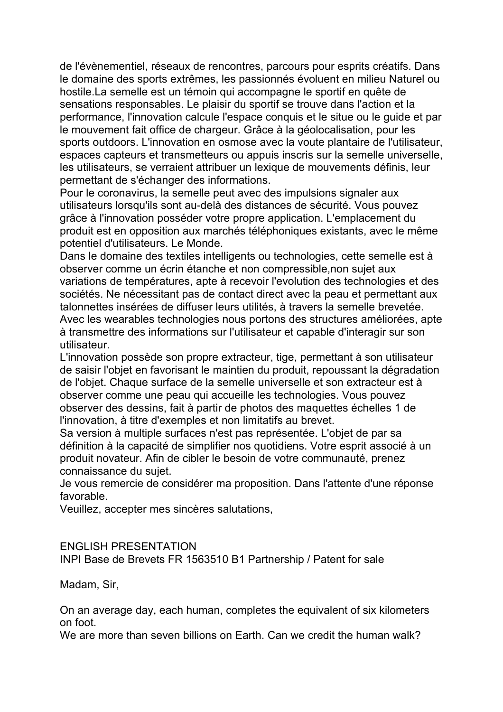de l'évènementiel, réseaux de rencontres, parcours pour esprits créatifs. Dans le domaine des sports extrêmes, les passionnés évoluent en milieu Naturel ou hostile.La semelle est un témoin qui accompagne le sportif en quête de sensations responsables. Le plaisir du sportif se trouve dans l'action et la performance, l'innovation calcule l'espace conquis et le situe ou le guide et par le mouvement fait office de chargeur. Grâce à la géolocalisation, pour les sports outdoors. L'innovation en osmose avec la voute plantaire de l'utilisateur, espaces capteurs et transmetteurs ou appuis inscris sur la semelle universelle, les utilisateurs, se verraient attribuer un lexique de mouvements définis, leur permettant de s'échanger des informations.

Pour le coronavirus, la semelle peut avec des impulsions signaler aux utilisateurs lorsqu'ils sont au-delà des distances de sécurité. Vous pouvez grâce à l'innovation posséder votre propre application. L'emplacement du produit est en opposition aux marchés téléphoniques existants, avec le même potentiel d'utilisateurs. Le Monde.

Dans le domaine des textiles intelligents ou technologies, cette semelle est à observer comme un écrin étanche et non compressible,non sujet aux variations de températures, apte à recevoir l'evolution des technologies et des sociétés. Ne nécessitant pas de contact direct avec la peau et permettant aux talonnettes insérées de diffuser leurs utilités, à travers la semelle brevetée. Avec les wearables technologies nous portons des structures améliorées, apte à transmettre des informations sur l'utilisateur et capable d'interagir sur son utilisateur.

L'innovation possède son propre extracteur, tige, permettant à son utilisateur de saisir l'objet en favorisant le maintien du produit, repoussant la dégradation de l'objet. Chaque surface de la semelle universelle et son extracteur est à observer comme une peau qui accueille les technologies. Vous pouvez observer des dessins, fait à partir de photos des maquettes échelles 1 de l'innovation, à titre d'exemples et non limitatifs au brevet.

Sa version à multiple surfaces n'est pas représentée. L'objet de par sa définition à la capacité de simplifier nos quotidiens. Votre esprit associé à un produit novateur. Afin de cibler le besoin de votre communauté, prenez connaissance du sujet.

Je vous remercie de considérer ma proposition. Dans l'attente d'une réponse favorable.

Veuillez, accepter mes sincères salutations,

### ENGLISH PRESENTATION

INPI Base de Brevets FR 1563510 B1 Partnership / Patent for sale

Madam, Sir,

On an average day, each human, completes the equivalent of six kilometers on foot.

We are more than seven billions on Farth. Can we credit the human walk?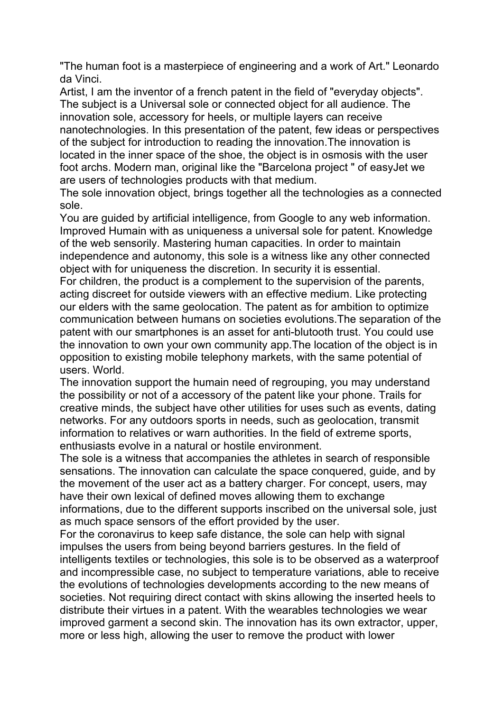"The human foot is a masterpiece of engineering and a work of Art." Leonardo da Vinci.

Artist, I am the inventor of a french patent in the field of "everyday objects". The subject is a Universal sole or connected object for all audience. The innovation sole, accessory for heels, or multiple layers can receive nanotechnologies. In this presentation of the patent, few ideas or perspectives of the subject for introduction to reading the innovation.The innovation is located in the inner space of the shoe, the object is in osmosis with the user foot archs. Modern man, original like the "Barcelona project " of easyJet we are users of technologies products with that medium.

The sole innovation object, brings together all the technologies as a connected sole.

You are guided by artificial intelligence, from Google to any web information. Improved Humain with as uniqueness a universal sole for patent. Knowledge of the web sensorily. Mastering human capacities. In order to maintain independence and autonomy, this sole is a witness like any other connected object with for uniqueness the discretion. In security it is essential.

For children, the product is a complement to the supervision of the parents, acting discreet for outside viewers with an effective medium. Like protecting our elders with the same geolocation. The patent as for ambition to optimize communication between humans on societies evolutions.The separation of the patent with our smartphones is an asset for anti-blutooth trust. You could use the innovation to own your own community app.The location of the object is in opposition to existing mobile telephony markets, with the same potential of users. World.

The innovation support the humain need of regrouping, you may understand the possibility or not of a accessory of the patent like your phone. Trails for creative minds, the subject have other utilities for uses such as events, dating networks. For any outdoors sports in needs, such as geolocation, transmit information to relatives or warn authorities. In the field of extreme sports, enthusiasts evolve in a natural or hostile environment.

The sole is a witness that accompanies the athletes in search of responsible sensations. The innovation can calculate the space conquered, guide, and by the movement of the user act as a battery charger. For concept, users, may have their own lexical of defined moves allowing them to exchange informations, due to the different supports inscribed on the universal sole, just as much space sensors of the effort provided by the user.

For the coronavirus to keep safe distance, the sole can help with signal impulses the users from being beyond barriers gestures. In the field of intelligents textiles or technologies, this sole is to be observed as a waterproof and incompressible case, no subject to temperature variations, able to receive the evolutions of technologies developments according to the new means of societies. Not requiring direct contact with skins allowing the inserted heels to distribute their virtues in a patent. With the wearables technologies we wear improved garment a second skin. The innovation has its own extractor, upper, more or less high, allowing the user to remove the product with lower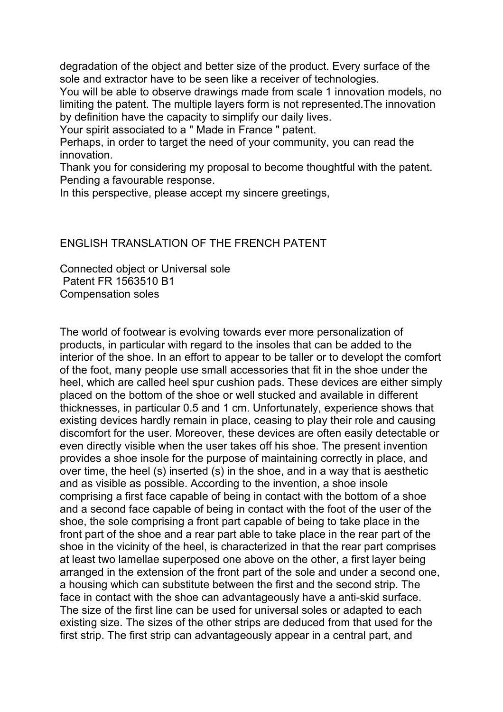degradation of the object and better size of the product. Every surface of the sole and extractor have to be seen like a receiver of technologies.

You will be able to observe drawings made from scale 1 innovation models, no limiting the patent. The multiple layers form is not represented.The innovation by definition have the capacity to simplify our daily lives.

Your spirit associated to a " Made in France " patent.

Perhaps, in order to target the need of your community, you can read the innovation.

Thank you for considering my proposal to become thoughtful with the patent. Pending a favourable response.

In this perspective, please accept my sincere greetings,

### ENGLISH TRANSLATION OF THE FRENCH PATENT

Connected object or Universal sole Patent FR 1563510 B1 Compensation soles

The world of footwear is evolving towards ever more personalization of products, in particular with regard to the insoles that can be added to the interior of the shoe. In an effort to appear to be taller or to developt the comfort of the foot, many people use small accessories that fit in the shoe under the heel, which are called heel spur cushion pads. These devices are either simply placed on the bottom of the shoe or well stucked and available in different thicknesses, in particular 0.5 and 1 cm. Unfortunately, experience shows that existing devices hardly remain in place, ceasing to play their role and causing discomfort for the user. Moreover, these devices are often easily detectable or even directly visible when the user takes off his shoe. The present invention provides a shoe insole for the purpose of maintaining correctly in place, and over time, the heel (s) inserted (s) in the shoe, and in a way that is aesthetic and as visible as possible. According to the invention, a shoe insole comprising a first face capable of being in contact with the bottom of a shoe and a second face capable of being in contact with the foot of the user of the shoe, the sole comprising a front part capable of being to take place in the front part of the shoe and a rear part able to take place in the rear part of the shoe in the vicinity of the heel, is characterized in that the rear part comprises at least two lamellae superposed one above on the other, a first layer being arranged in the extension of the front part of the sole and under a second one, a housing which can substitute between the first and the second strip. The face in contact with the shoe can advantageously have a anti-skid surface. The size of the first line can be used for universal soles or adapted to each existing size. The sizes of the other strips are deduced from that used for the first strip. The first strip can advantageously appear in a central part, and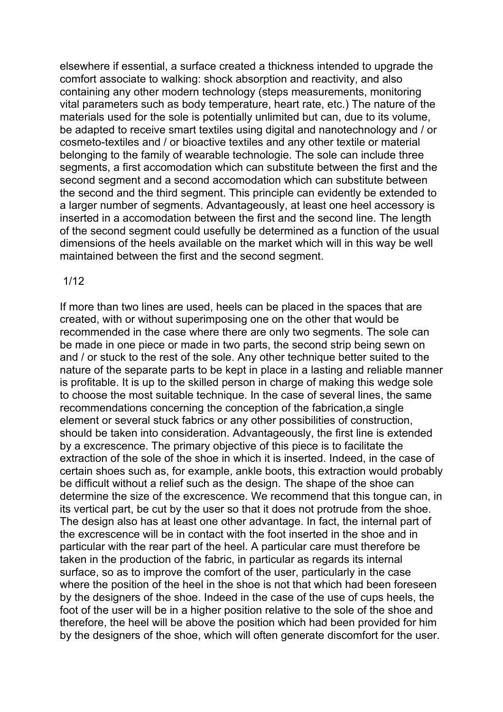elsewhere if essential, a surface created a thickness intended to upgrade the comfort associate to walking: shock absorption and reactivity, and also containing any other modern technology (steps measurements, monitoring vital parameters such as body temperature, heart rate, etc.) The nature of the materials used for the sole is potentially unlimited but can, due to its volume, be adapted to receive smart textiles using digital and nanotechnology and / or cosmeto-textiles and / or bioactive textiles and any other textile or material belonging to the family of wearable technologie. The sole can include three segments, a first accomodation which can substitute between the first and the second segment and a second accomodation which can substitute between the second and the third segment. This principle can evidently be extended to a larger number of segments. Advantageously, at least one heel accessory is inserted in a accomodation between the first and the second line. The length of the second segment could usefully be determined as a function of the usual dimensions of the heels available on the market which will in this way be well maintained between the first and the second segment.

#### 1/12

If more than two lines are used, heels can be placed in the spaces that are created, with or without superimposing one on the other that would be recommended in the case where there are only two segments. The sole can be made in one piece or made in two parts, the second strip being sewn on and / or stuck to the rest of the sole. Any other technique better suited to the nature of the separate parts to be kept in place in a lasting and reliable manner is profitable. It is up to the skilled person in charge of making this wedge sole to choose the most suitable technique. In the case of several lines, the same recommendations concerning the conception of the fabrication,a single element or several stuck fabrics or any other possibilities of construction, should be taken into consideration. Advantageously, the first line is extended by a excrescence. The primary objective of this piece is to facilitate the extraction of the sole of the shoe in which it is inserted. Indeed, in the case of certain shoes such as, for example, ankle boots, this extraction would probably be difficult without a relief such as the design. The shape of the shoe can determine the size of the excrescence. We recommend that this tongue can, in its vertical part, be cut by the user so that it does not protrude from the shoe. The design also has at least one other advantage. In fact, the internal part of the excrescence will be in contact with the foot inserted in the shoe and in particular with the rear part of the heel. A particular care must therefore be taken in the production of the fabric, in particular as regards its internal surface, so as to improve the comfort of the user, particularly in the case where the position of the heel in the shoe is not that which had been foreseen by the designers of the shoe. Indeed in the case of the use of cups heels, the foot of the user will be in a higher position relative to the sole of the shoe and therefore, the heel will be above the position which had been provided for him by the designers of the shoe, which will often generate discomfort for the user.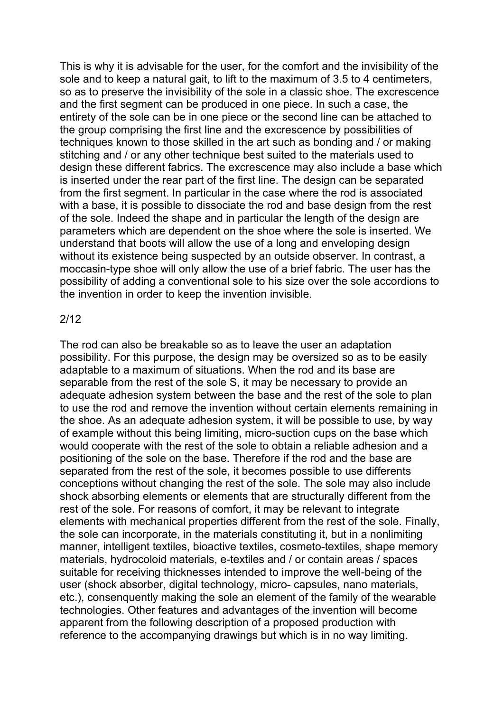This is why it is advisable for the user, for the comfort and the invisibility of the sole and to keep a natural gait, to lift to the maximum of 3.5 to 4 centimeters, so as to preserve the invisibility of the sole in a classic shoe. The excrescence and the first segment can be produced in one piece. In such a case, the entirety of the sole can be in one piece or the second line can be attached to the group comprising the first line and the excrescence by possibilities of techniques known to those skilled in the art such as bonding and / or making stitching and / or any other technique best suited to the materials used to design these different fabrics. The excrescence may also include a base which is inserted under the rear part of the first line. The design can be separated from the first segment. In particular in the case where the rod is associated with a base, it is possible to dissociate the rod and base design from the rest of the sole. Indeed the shape and in particular the length of the design are parameters which are dependent on the shoe where the sole is inserted. We understand that boots will allow the use of a long and enveloping design without its existence being suspected by an outside observer. In contrast, a moccasin-type shoe will only allow the use of a brief fabric. The user has the possibility of adding a conventional sole to his size over the sole accordions to the invention in order to keep the invention invisible.

### 2/12

The rod can also be breakable so as to leave the user an adaptation possibility. For this purpose, the design may be oversized so as to be easily adaptable to a maximum of situations. When the rod and its base are separable from the rest of the sole S, it may be necessary to provide an adequate adhesion system between the base and the rest of the sole to plan to use the rod and remove the invention without certain elements remaining in the shoe. As an adequate adhesion system, it will be possible to use, by way of example without this being limiting, micro-suction cups on the base which would cooperate with the rest of the sole to obtain a reliable adhesion and a positioning of the sole on the base. Therefore if the rod and the base are separated from the rest of the sole, it becomes possible to use differents conceptions without changing the rest of the sole. The sole may also include shock absorbing elements or elements that are structurally different from the rest of the sole. For reasons of comfort, it may be relevant to integrate elements with mechanical properties different from the rest of the sole. Finally, the sole can incorporate, in the materials constituting it, but in a nonlimiting manner, intelligent textiles, bioactive textiles, cosmeto-textiles, shape memory materials, hydrocoloid materials, e-textiles and / or contain areas / spaces suitable for receiving thicknesses intended to improve the well-being of the user (shock absorber, digital technology, micro- capsules, nano materials, etc.), consenquently making the sole an element of the family of the wearable technologies. Other features and advantages of the invention will become apparent from the following description of a proposed production with reference to the accompanying drawings but which is in no way limiting.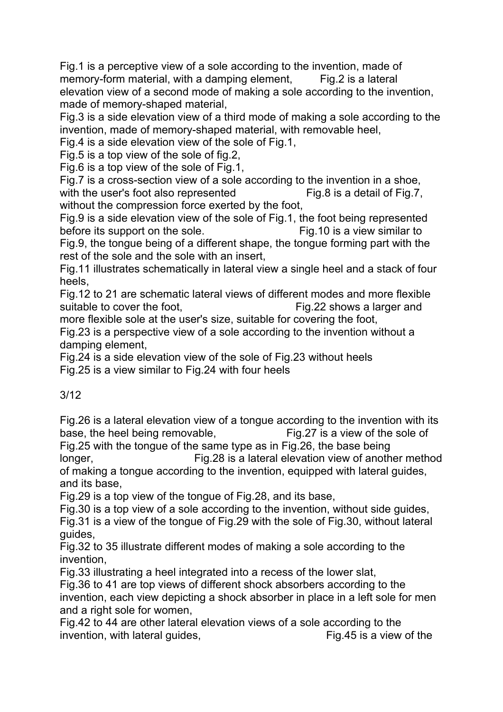Fig.1 is a perceptive view of a sole according to the invention, made of memory-form material, with a damping element, Fig.2 is a lateral elevation view of a second mode of making a sole according to the invention, made of memory-shaped material,

Fig.3 is a side elevation view of a third mode of making a sole according to the invention, made of memory-shaped material, with removable heel,

Fig.4 is a side elevation view of the sole of Fig.1,

Fig.5 is a top view of the sole of fig.2,

Fig.6 is a top view of the sole of Fig.1,

Fig.7 is a cross-section view of a sole according to the invention in a shoe, with the user's foot also represented Fig.8 is a detail of Fig.7, without the compression force exerted by the foot,

Fig.9 is a side elevation view of the sole of Fig.1, the foot being represented before its support on the sole. Fig.10 is a view similar to

Fig.9, the tongue being of a different shape, the tongue forming part with the rest of the sole and the sole with an insert,

Fig.11 illustrates schematically in lateral view a single heel and a stack of four heels,

Fig.12 to 21 are schematic lateral views of different modes and more flexible suitable to cover the foot, **Fig.22** shows a larger and

more flexible sole at the user's size, suitable for covering the foot,

Fig.23 is a perspective view of a sole according to the invention without a damping element,

Fig.24 is a side elevation view of the sole of Fig.23 without heels Fig.25 is a view similar to Fig.24 with four heels

# 3/12

Fig.26 is a lateral elevation view of a tongue according to the invention with its base, the heel being removable, Fig.27 is a view of the sole of

Fig.25 with the tongue of the same type as in Fig.26, the base being longer, Fig.28 is a lateral elevation view of another method of making a tongue according to the invention, equipped with lateral guides, and its base,

Fig.29 is a top view of the tongue of Fig.28, and its base,

Fig.30 is a top view of a sole according to the invention, without side guides, Fig.31 is a view of the tongue of Fig.29 with the sole of Fig.30, without lateral guides,

Fig.32 to 35 illustrate different modes of making a sole according to the invention,

Fig.33 illustrating a heel integrated into a recess of the lower slat,

Fig.36 to 41 are top views of different shock absorbers according to the invention, each view depicting a shock absorber in place in a left sole for men and a right sole for women.

Fig.42 to 44 are other lateral elevation views of a sole according to the invention, with lateral guides, The South Control of the Fig.45 is a view of the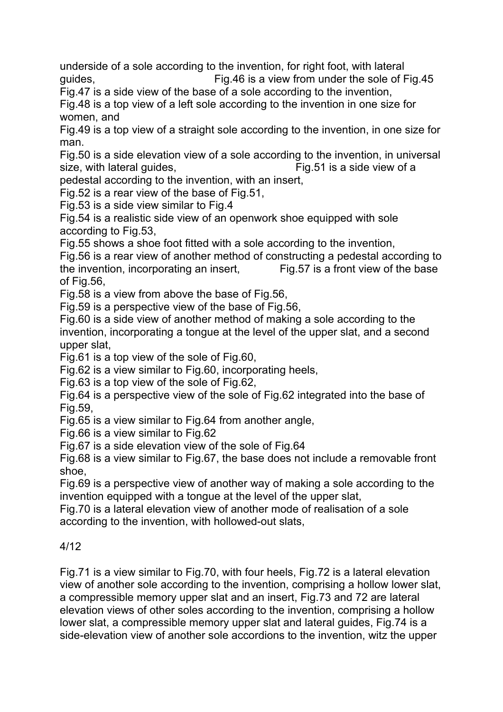underside of a sole according to the invention, for right foot, with lateral guides, Fig.46 is a view from under the sole of Fig.45

Fig.47 is a side view of the base of a sole according to the invention,

Fig.48 is a top view of a left sole according to the invention in one size for women, and

Fig.49 is a top view of a straight sole according to the invention, in one size for man.

Fig.50 is a side elevation view of a sole according to the invention, in universal size, with lateral guides,  $\overline{F}$  Fig.51 is a side view of a

pedestal according to the invention, with an insert,

Fig.52 is a rear view of the base of Fig.51,

Fig.53 is a side view similar to Fig.4

Fig.54 is a realistic side view of an openwork shoe equipped with sole according to Fig.53,

Fig.55 shows a shoe foot fitted with a sole according to the invention,

Fig.56 is a rear view of another method of constructing a pedestal according to the invention, incorporating an insert, Fig.57 is a front view of the base of Fig.56,

Fig.58 is a view from above the base of Fig.56,

Fig.59 is a perspective view of the base of Fig.56,

Fig.60 is a side view of another method of making a sole according to the invention, incorporating a tongue at the level of the upper slat, and a second upper slat,

Fig.61 is a top view of the sole of Fig.60,

Fig.62 is a view similar to Fig.60, incorporating heels,

Fig.63 is a top view of the sole of Fig.62,

Fig.64 is a perspective view of the sole of Fig.62 integrated into the base of Fig.59,

Fig.65 is a view similar to Fig.64 from another angle,

Fig.66 is a view similar to Fig.62

Fig.67 is a side elevation view of the sole of Fig.64

Fig.68 is a view similar to Fig.67, the base does not include a removable front shoe,

Fig.69 is a perspective view of another way of making a sole according to the invention equipped with a tongue at the level of the upper slat,

Fig.70 is a lateral elevation view of another mode of realisation of a sole according to the invention, with hollowed-out slats,

### 4/12

Fig.71 is a view similar to Fig.70, with four heels, Fig.72 is a lateral elevation view of another sole according to the invention, comprising a hollow lower slat, a compressible memory upper slat and an insert, Fig.73 and 72 are lateral elevation views of other soles according to the invention, comprising a hollow lower slat, a compressible memory upper slat and lateral guides, Fig.74 is a side-elevation view of another sole accordions to the invention, witz the upper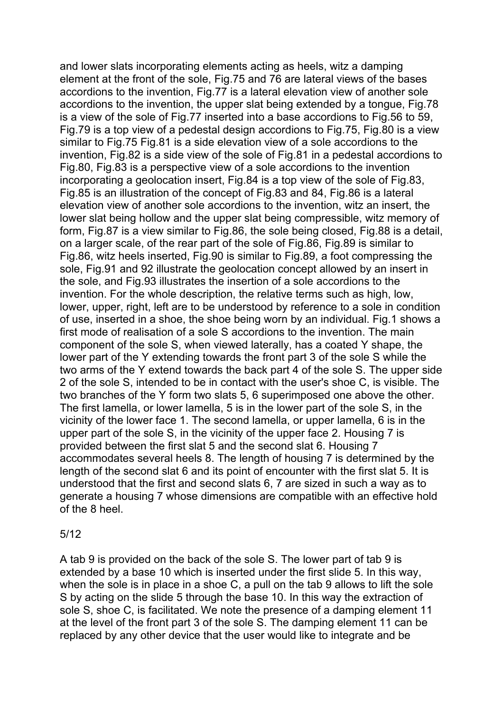and lower slats incorporating elements acting as heels, witz a damping element at the front of the sole, Fig.75 and 76 are lateral views of the bases accordions to the invention, Fig.77 is a lateral elevation view of another sole accordions to the invention, the upper slat being extended by a tongue, Fig.78 is a view of the sole of Fig.77 inserted into a base accordions to Fig.56 to 59, Fig.79 is a top view of a pedestal design accordions to Fig.75, Fig.80 is a view similar to Fig.75 Fig.81 is a side elevation view of a sole accordions to the invention, Fig.82 is a side view of the sole of Fig.81 in a pedestal accordions to Fig.80, Fig.83 is a perspective view of a sole accordions to the invention incorporating a geolocation insert, Fig.84 is a top view of the sole of Fig.83, Fig.85 is an illustration of the concept of Fig.83 and 84, Fig.86 is a lateral elevation view of another sole accordions to the invention, witz an insert, the lower slat being hollow and the upper slat being compressible, witz memory of form, Fig.87 is a view similar to Fig.86, the sole being closed, Fig.88 is a detail, on a larger scale, of the rear part of the sole of Fig.86, Fig.89 is similar to Fig.86, witz heels inserted, Fig.90 is similar to Fig.89, a foot compressing the sole, Fig.91 and 92 illustrate the geolocation concept allowed by an insert in the sole, and Fig.93 illustrates the insertion of a sole accordions to the invention. For the whole description, the relative terms such as high, low, lower, upper, right, left are to be understood by reference to a sole in condition of use, inserted in a shoe, the shoe being worn by an individual. Fig.1 shows a first mode of realisation of a sole S accordions to the invention. The main component of the sole S, when viewed laterally, has a coated Y shape, the lower part of the Y extending towards the front part 3 of the sole S while the two arms of the Y extend towards the back part 4 of the sole S. The upper side 2 of the sole S, intended to be in contact with the user's shoe C, is visible. The two branches of the Y form two slats 5, 6 superimposed one above the other. The first lamella, or lower lamella, 5 is in the lower part of the sole S, in the vicinity of the lower face 1. The second lamella, or upper lamella, 6 is in the upper part of the sole S, in the vicinity of the upper face 2. Housing 7 is provided between the first slat 5 and the second slat 6. Housing 7 accommodates several heels 8. The length of housing 7 is determined by the length of the second slat 6 and its point of encounter with the first slat 5. It is understood that the first and second slats 6, 7 are sized in such a way as to generate a housing 7 whose dimensions are compatible with an effective hold of the 8 heel.

### 5/12

A tab 9 is provided on the back of the sole S. The lower part of tab 9 is extended by a base 10 which is inserted under the first slide 5. In this way, when the sole is in place in a shoe C, a pull on the tab 9 allows to lift the sole S by acting on the slide 5 through the base 10. In this way the extraction of sole S, shoe C, is facilitated. We note the presence of a damping element 11 at the level of the front part 3 of the sole S. The damping element 11 can be replaced by any other device that the user would like to integrate and be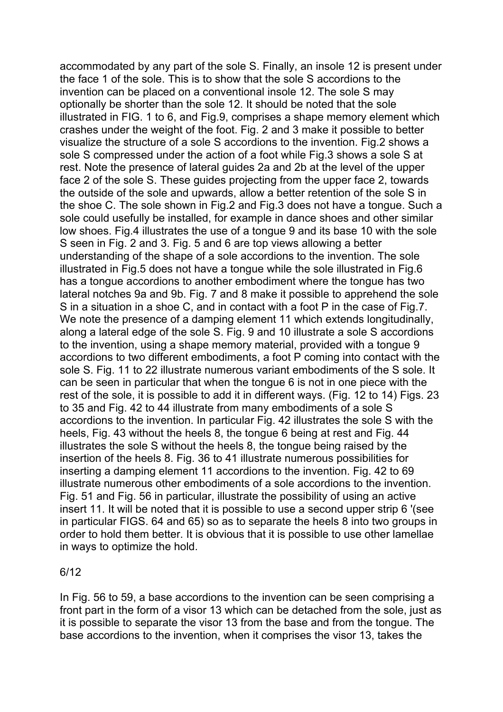accommodated by any part of the sole S. Finally, an insole 12 is present under the face 1 of the sole. This is to show that the sole S accordions to the invention can be placed on a conventional insole 12. The sole S may optionally be shorter than the sole 12. It should be noted that the sole illustrated in FIG. 1 to 6, and Fig.9, comprises a shape memory element which crashes under the weight of the foot. Fig. 2 and 3 make it possible to better visualize the structure of a sole S accordions to the invention. Fig.2 shows a sole S compressed under the action of a foot while Fig.3 shows a sole S at rest. Note the presence of lateral guides 2a and 2b at the level of the upper face 2 of the sole S. These guides projecting from the upper face 2, towards the outside of the sole and upwards, allow a better retention of the sole S in the shoe C. The sole shown in Fig.2 and Fig.3 does not have a tongue. Such a sole could usefully be installed, for example in dance shoes and other similar low shoes. Fig.4 illustrates the use of a tongue 9 and its base 10 with the sole S seen in Fig. 2 and 3. Fig. 5 and 6 are top views allowing a better understanding of the shape of a sole accordions to the invention. The sole illustrated in Fig.5 does not have a tongue while the sole illustrated in Fig.6 has a tongue accordions to another embodiment where the tongue has two lateral notches 9a and 9b. Fig. 7 and 8 make it possible to apprehend the sole S in a situation in a shoe C, and in contact with a foot P in the case of Fig.7. We note the presence of a damping element 11 which extends longitudinally, along a lateral edge of the sole S. Fig. 9 and 10 illustrate a sole S accordions to the invention, using a shape memory material, provided with a tongue 9 accordions to two different embodiments, a foot P coming into contact with the sole S. Fig. 11 to 22 illustrate numerous variant embodiments of the S sole. It can be seen in particular that when the tongue 6 is not in one piece with the rest of the sole, it is possible to add it in different ways. (Fig. 12 to 14) Figs. 23 to 35 and Fig. 42 to 44 illustrate from many embodiments of a sole S accordions to the invention. In particular Fig. 42 illustrates the sole S with the heels, Fig. 43 without the heels 8, the tongue 6 being at rest and Fig. 44 illustrates the sole S without the heels 8, the tongue being raised by the insertion of the heels 8. Fig. 36 to 41 illustrate numerous possibilities for inserting a damping element 11 accordions to the invention. Fig. 42 to 69 illustrate numerous other embodiments of a sole accordions to the invention. Fig. 51 and Fig. 56 in particular, illustrate the possibility of using an active insert 11. It will be noted that it is possible to use a second upper strip 6 '(see in particular FIGS. 64 and 65) so as to separate the heels 8 into two groups in order to hold them better. It is obvious that it is possible to use other lamellae in ways to optimize the hold.

### 6/12

In Fig. 56 to 59, a base accordions to the invention can be seen comprising a front part in the form of a visor 13 which can be detached from the sole, just as it is possible to separate the visor 13 from the base and from the tongue. The base accordions to the invention, when it comprises the visor 13, takes the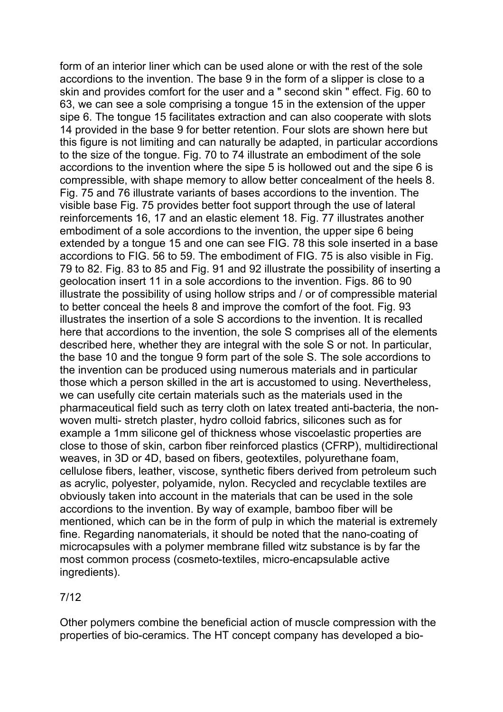form of an interior liner which can be used alone or with the rest of the sole accordions to the invention. The base 9 in the form of a slipper is close to a skin and provides comfort for the user and a " second skin " effect. Fig. 60 to 63, we can see a sole comprising a tongue 15 in the extension of the upper sipe 6. The tongue 15 facilitates extraction and can also cooperate with slots 14 provided in the base 9 for better retention. Four slots are shown here but this figure is not limiting and can naturally be adapted, in particular accordions to the size of the tongue. Fig. 70 to 74 illustrate an embodiment of the sole accordions to the invention where the sipe 5 is hollowed out and the sipe 6 is compressible, with shape memory to allow better concealment of the heels 8. Fig. 75 and 76 illustrate variants of bases accordions to the invention. The visible base Fig. 75 provides better foot support through the use of lateral reinforcements 16, 17 and an elastic element 18. Fig. 77 illustrates another embodiment of a sole accordions to the invention, the upper sipe 6 being extended by a tongue 15 and one can see FIG. 78 this sole inserted in a base accordions to FIG. 56 to 59. The embodiment of FIG. 75 is also visible in Fig. 79 to 82. Fig. 83 to 85 and Fig. 91 and 92 illustrate the possibility of inserting a geolocation insert 11 in a sole accordions to the invention. Figs. 86 to 90 illustrate the possibility of using hollow strips and / or of compressible material to better conceal the heels 8 and improve the comfort of the foot. Fig. 93 illustrates the insertion of a sole S accordions to the invention. It is recalled here that accordions to the invention, the sole S comprises all of the elements described here, whether they are integral with the sole S or not. In particular, the base 10 and the tongue 9 form part of the sole S. The sole accordions to the invention can be produced using numerous materials and in particular those which a person skilled in the art is accustomed to using. Nevertheless, we can usefully cite certain materials such as the materials used in the pharmaceutical field such as terry cloth on latex treated anti-bacteria, the nonwoven multi- stretch plaster, hydro colloid fabrics, silicones such as for example a 1mm silicone gel of thickness whose viscoelastic properties are close to those of skin, carbon fiber reinforced plastics (CFRP), multidirectional weaves, in 3D or 4D, based on fibers, geotextiles, polyurethane foam, cellulose fibers, leather, viscose, synthetic fibers derived from petroleum such as acrylic, polyester, polyamide, nylon. Recycled and recyclable textiles are obviously taken into account in the materials that can be used in the sole accordions to the invention. By way of example, bamboo fiber will be mentioned, which can be in the form of pulp in which the material is extremely fine. Regarding nanomaterials, it should be noted that the nano-coating of microcapsules with a polymer membrane filled witz substance is by far the most common process (cosmeto-textiles, micro-encapsulable active ingredients).

## 7/12

Other polymers combine the beneficial action of muscle compression with the properties of bio-ceramics. The HT concept company has developed a bio-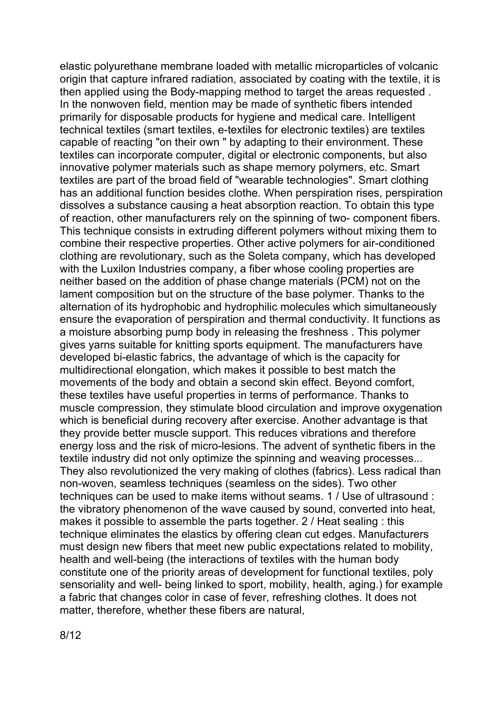elastic polyurethane membrane loaded with metallic microparticles of volcanic origin that capture infrared radiation, associated by coating with the textile, it is then applied using the Body-mapping method to target the areas requested . In the nonwoven field, mention may be made of synthetic fibers intended primarily for disposable products for hygiene and medical care. Intelligent technical textiles (smart textiles, e-textiles for electronic textiles) are textiles capable of reacting "on their own " by adapting to their environment. These textiles can incorporate computer, digital or electronic components, but also innovative polymer materials such as shape memory polymers, etc. Smart textiles are part of the broad field of "wearable technologies". Smart clothing has an additional function besides clothe. When perspiration rises, perspiration dissolves a substance causing a heat absorption reaction. To obtain this type of reaction, other manufacturers rely on the spinning of two- component fibers. This technique consists in extruding different polymers without mixing them to combine their respective properties. Other active polymers for air-conditioned clothing are revolutionary, such as the Soleta company, which has developed with the Luxilon Industries company, a fiber whose cooling properties are neither based on the addition of phase change materials (PCM) not on the lament composition but on the structure of the base polymer. Thanks to the alternation of its hydrophobic and hydrophilic molecules which simultaneously ensure the evaporation of perspiration and thermal conductivity. It functions as a moisture absorbing pump body in releasing the freshness . This polymer gives yarns suitable for knitting sports equipment. The manufacturers have developed bi-elastic fabrics, the advantage of which is the capacity for multidirectional elongation, which makes it possible to best match the movements of the body and obtain a second skin effect. Beyond comfort, these textiles have useful properties in terms of performance. Thanks to muscle compression, they stimulate blood circulation and improve oxygenation which is beneficial during recovery after exercise. Another advantage is that they provide better muscle support. This reduces vibrations and therefore energy loss and the risk of micro-lesions. The advent of synthetic fibers in the textile industry did not only optimize the spinning and weaving processes... They also revolutionized the very making of clothes (fabrics). Less radical than non-woven, seamless techniques (seamless on the sides). Two other techniques can be used to make items without seams. 1 / Use of ultrasound : the vibratory phenomenon of the wave caused by sound, converted into heat, makes it possible to assemble the parts together. 2 / Heat sealing : this technique eliminates the elastics by offering clean cut edges. Manufacturers must design new fibers that meet new public expectations related to mobility, health and well-being (the interactions of textiles with the human body constitute one of the priority areas of development for functional textiles, poly sensoriality and well- being linked to sport, mobility, health, aging.) for example a fabric that changes color in case of fever, refreshing clothes. It does not matter, therefore, whether these fibers are natural,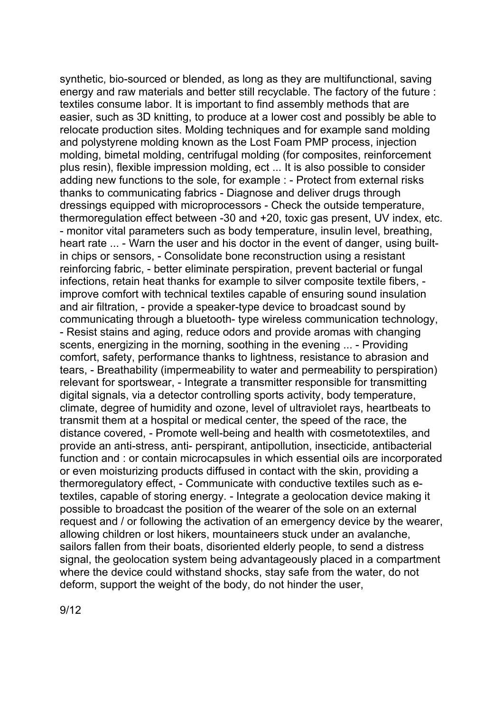synthetic, bio-sourced or blended, as long as they are multifunctional, saving energy and raw materials and better still recyclable. The factory of the future : textiles consume labor. It is important to find assembly methods that are easier, such as 3D knitting, to produce at a lower cost and possibly be able to relocate production sites. Molding techniques and for example sand molding and polystyrene molding known as the Lost Foam PMP process, injection molding, bimetal molding, centrifugal molding (for composites, reinforcement plus resin), flexible impression molding, ect ... It is also possible to consider adding new functions to the sole, for example : - Protect from external risks thanks to communicating fabrics - Diagnose and deliver drugs through dressings equipped with microprocessors - Check the outside temperature, thermoregulation effect between -30 and +20, toxic gas present, UV index, etc. - monitor vital parameters such as body temperature, insulin level, breathing, heart rate ... - Warn the user and his doctor in the event of danger, using builtin chips or sensors, - Consolidate bone reconstruction using a resistant reinforcing fabric, - better eliminate perspiration, prevent bacterial or fungal infections, retain heat thanks for example to silver composite textile fibers, improve comfort with technical textiles capable of ensuring sound insulation and air filtration, - provide a speaker-type device to broadcast sound by communicating through a bluetooth- type wireless communication technology, - Resist stains and aging, reduce odors and provide aromas with changing scents, energizing in the morning, soothing in the evening ... - Providing comfort, safety, performance thanks to lightness, resistance to abrasion and tears, - Breathability (impermeability to water and permeability to perspiration) relevant for sportswear, - Integrate a transmitter responsible for transmitting digital signals, via a detector controlling sports activity, body temperature, climate, degree of humidity and ozone, level of ultraviolet rays, heartbeats to transmit them at a hospital or medical center, the speed of the race, the distance covered, - Promote well-being and health with cosmetotextiles, and provide an anti-stress, anti- perspirant, antipollution, insecticide, antibacterial function and : or contain microcapsules in which essential oils are incorporated or even moisturizing products diffused in contact with the skin, providing a thermoregulatory effect, - Communicate with conductive textiles such as etextiles, capable of storing energy. - Integrate a geolocation device making it possible to broadcast the position of the wearer of the sole on an external request and / or following the activation of an emergency device by the wearer, allowing children or lost hikers, mountaineers stuck under an avalanche, sailors fallen from their boats, disoriented elderly people, to send a distress signal, the geolocation system being advantageously placed in a compartment where the device could withstand shocks, stay safe from the water, do not deform, support the weight of the body, do not hinder the user,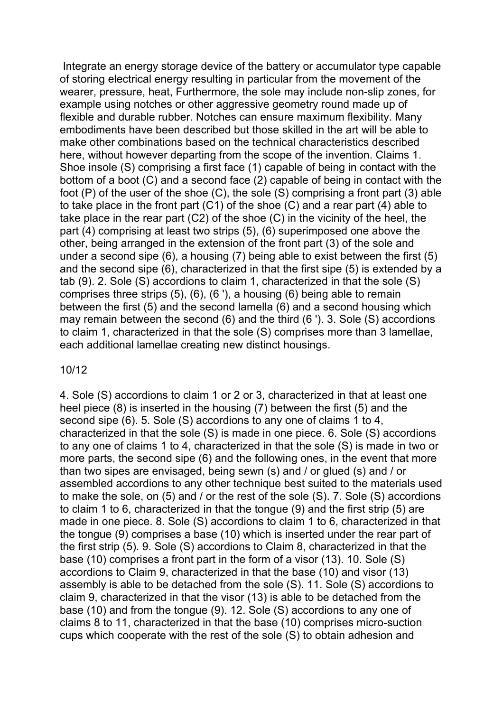Integrate an energy storage device of the battery or accumulator type capable of storing electrical energy resulting in particular from the movement of the wearer, pressure, heat, Furthermore, the sole may include non-slip zones, for example using notches or other aggressive geometry round made up of flexible and durable rubber. Notches can ensure maximum flexibility. Many embodiments have been described but those skilled in the art will be able to make other combinations based on the technical characteristics described here, without however departing from the scope of the invention. Claims 1. Shoe insole (S) comprising a first face (1) capable of being in contact with the bottom of a boot (C) and a second face (2) capable of being in contact with the foot (P) of the user of the shoe (C), the sole (S) comprising a front part (3) able to take place in the front part (C1) of the shoe (C) and a rear part (4) able to take place in the rear part (C2) of the shoe (C) in the vicinity of the heel, the part (4) comprising at least two strips (5), (6) superimposed one above the other, being arranged in the extension of the front part (3) of the sole and under a second sipe (6), a housing (7) being able to exist between the first (5) and the second sipe (6), characterized in that the first sipe (5) is extended by a tab (9). 2. Sole (S) accordions to claim 1, characterized in that the sole (S) comprises three strips (5), (6), (6 '), a housing (6) being able to remain between the first (5) and the second lamella (6) and a second housing which may remain between the second (6) and the third (6 '). 3. Sole (S) accordions to claim 1, characterized in that the sole (S) comprises more than 3 lamellae, each additional lamellae creating new distinct housings.

### 10/12

4. Sole (S) accordions to claim 1 or 2 or 3, characterized in that at least one heel piece (8) is inserted in the housing (7) between the first (5) and the second sipe (6). 5. Sole (S) accordions to any one of claims 1 to 4, characterized in that the sole (S) is made in one piece. 6. Sole (S) accordions to any one of claims 1 to 4, characterized in that the sole (S) is made in two or more parts, the second sipe (6) and the following ones, in the event that more than two sipes are envisaged, being sewn (s) and / or glued (s) and / or assembled accordions to any other technique best suited to the materials used to make the sole, on (5) and / or the rest of the sole (S). 7. Sole (S) accordions to claim 1 to 6, characterized in that the tongue (9) and the first strip (5) are made in one piece. 8. Sole (S) accordions to claim 1 to 6, characterized in that the tongue (9) comprises a base (10) which is inserted under the rear part of the first strip (5). 9. Sole (S) accordions to Claim 8, characterized in that the base (10) comprises a front part in the form of a visor (13). 10. Sole (S) accordions to Claim 9, characterized in that the base (10) and visor (13) assembly is able to be detached from the sole (S). 11. Sole (S) accordions to claim 9, characterized in that the visor (13) is able to be detached from the base (10) and from the tongue (9). 12. Sole (S) accordions to any one of claims 8 to 11, characterized in that the base (10) comprises micro-suction cups which cooperate with the rest of the sole (S) to obtain adhesion and